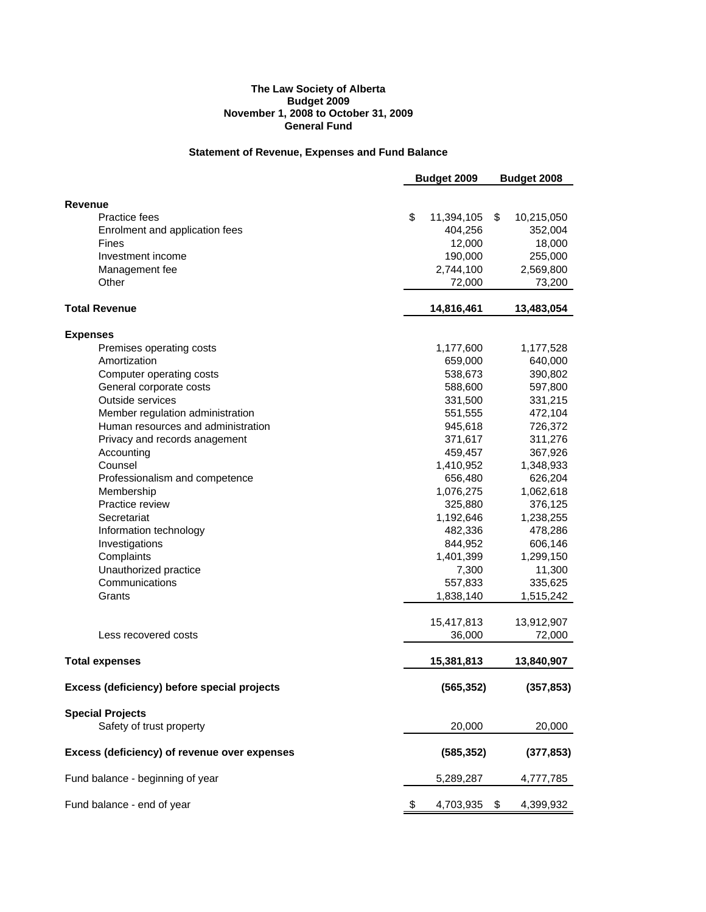#### **The Law Society of Alberta Budget 2009 November 1, 2008 to October 31, 2009 General Fund**

## **Statement of Revenue, Expenses and Fund Balance**

|                                                     | Budget 2009<br>Budget 2008 |     |            |
|-----------------------------------------------------|----------------------------|-----|------------|
|                                                     |                            |     |            |
| <b>Revenue</b>                                      |                            |     |            |
| <b>Practice fees</b>                                | \$<br>11,394,105           | \$  | 10,215,050 |
| Enrolment and application fees                      | 404,256                    |     | 352,004    |
| Fines                                               | 12,000                     |     | 18,000     |
| Investment income                                   | 190,000                    |     | 255,000    |
| Management fee                                      | 2,744,100                  |     | 2,569,800  |
| Other                                               | 72,000                     |     | 73,200     |
|                                                     |                            |     |            |
| <b>Total Revenue</b>                                | 14,816,461                 |     | 13,483,054 |
| <b>Expenses</b>                                     |                            |     |            |
| Premises operating costs                            | 1,177,600                  |     | 1,177,528  |
| Amortization                                        | 659,000                    |     | 640,000    |
| Computer operating costs                            | 538,673                    |     | 390,802    |
| General corporate costs                             | 588,600                    |     | 597,800    |
| Outside services                                    | 331,500                    |     | 331,215    |
| Member regulation administration                    | 551,555                    |     | 472,104    |
| Human resources and administration                  | 945,618                    |     | 726,372    |
| Privacy and records anagement                       | 371,617                    |     | 311,276    |
| Accounting                                          | 459,457                    |     | 367,926    |
| Counsel                                             | 1,410,952                  |     | 1,348,933  |
| Professionalism and competence                      | 656,480                    |     | 626,204    |
| Membership                                          | 1,076,275                  |     | 1,062,618  |
| Practice review                                     | 325,880                    |     | 376,125    |
| Secretariat                                         | 1,192,646                  |     | 1,238,255  |
| Information technology                              | 482,336                    |     | 478,286    |
| Investigations                                      | 844,952                    |     | 606,146    |
| Complaints                                          | 1,401,399                  |     | 1,299,150  |
| Unauthorized practice                               | 7,300                      |     | 11,300     |
| Communications                                      | 557,833                    |     | 335,625    |
| Grants                                              | 1,838,140                  |     | 1,515,242  |
|                                                     | 15,417,813                 |     | 13,912,907 |
| Less recovered costs                                | 36,000                     |     | 72,000     |
| <b>Total expenses</b>                               | 15,381,813                 |     | 13,840,907 |
| Excess (deficiency) before special projects         | (565, 352)                 |     | (357, 853) |
|                                                     |                            |     |            |
| <b>Special Projects</b><br>Safety of trust property | 20,000                     |     | 20,000     |
| Excess (deficiency) of revenue over expenses        | (585, 352)                 |     |            |
|                                                     |                            |     | (377, 853) |
| Fund balance - beginning of year                    | 5,289,287                  |     | 4,777,785  |
| Fund balance - end of year                          | 4,703,935                  | \$. | 4,399,932  |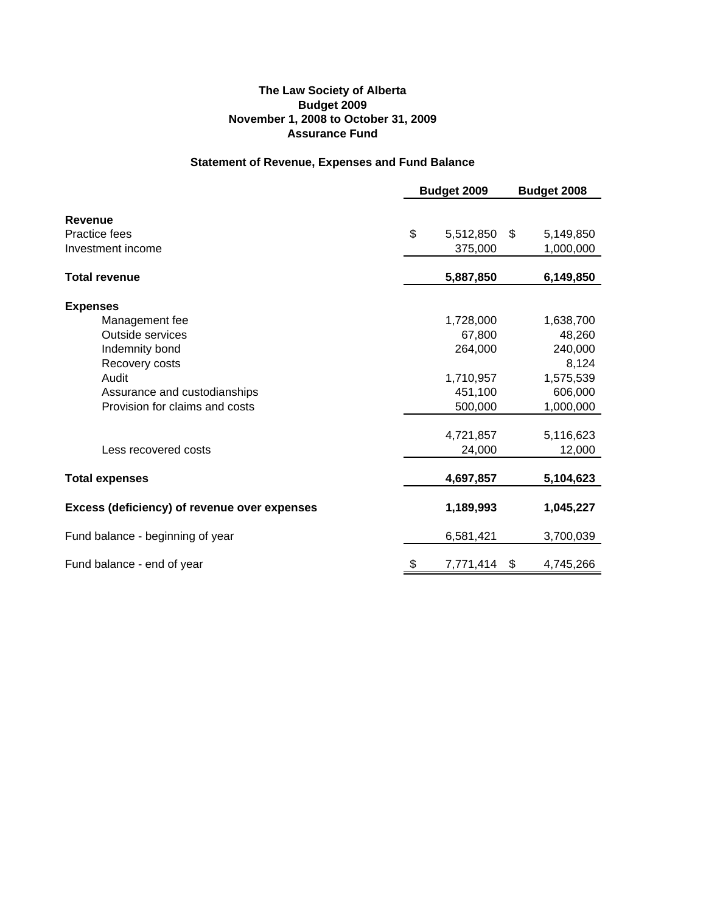## **The Law Society of Alberta Budget 2009 November 1, 2008 to October 31, 2009 Assurance Fund**

# **Statement of Revenue, Expenses and Fund Balance**

|                                              | Budget 2009     | Budget 2008 |           |
|----------------------------------------------|-----------------|-------------|-----------|
|                                              |                 |             |           |
| <b>Revenue</b>                               |                 |             |           |
| <b>Practice fees</b>                         | \$<br>5,512,850 | \$          | 5,149,850 |
| Investment income                            | 375,000         |             | 1,000,000 |
| <b>Total revenue</b>                         | 5,887,850       |             | 6,149,850 |
| <b>Expenses</b>                              |                 |             |           |
| Management fee                               | 1,728,000       |             | 1,638,700 |
| Outside services                             | 67,800          |             | 48,260    |
| Indemnity bond                               | 264,000         |             | 240,000   |
| Recovery costs                               |                 |             | 8,124     |
| Audit                                        | 1,710,957       |             | 1,575,539 |
| Assurance and custodianships                 | 451,100         |             | 606,000   |
| Provision for claims and costs               | 500,000         |             | 1,000,000 |
|                                              | 4,721,857       |             | 5,116,623 |
| Less recovered costs                         | 24,000          |             | 12,000    |
| <b>Total expenses</b>                        | 4,697,857       |             | 5,104,623 |
| Excess (deficiency) of revenue over expenses | 1,189,993       |             | 1,045,227 |
| Fund balance - beginning of year             | 6,581,421       |             | 3,700,039 |
| Fund balance - end of year                   | \$<br>7,771,414 | \$          | 4,745,266 |